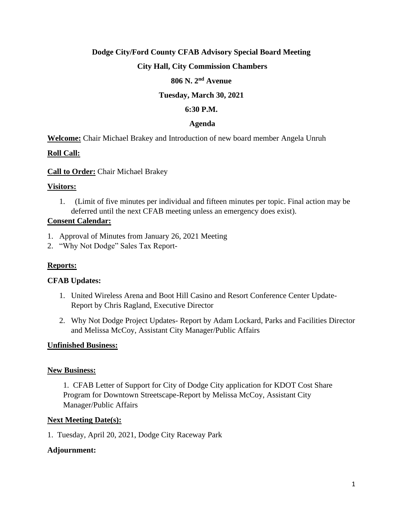# **Dodge City/Ford County CFAB Advisory Special Board Meeting**

# **City Hall, City Commission Chambers**

#### **806 N. 2nd Avenue**

## **Tuesday, March 30, 2021**

# **6:30 P.M.**

#### **Agenda**

**Welcome:** Chair Michael Brakey and Introduction of new board member Angela Unruh

#### **Roll Call:**

**Call to Order:** Chair Michael Brakey

#### **Visitors:**

1. (Limit of five minutes per individual and fifteen minutes per topic. Final action may be deferred until the next CFAB meeting unless an emergency does exist).

#### **Consent Calendar:**

- 1. Approval of Minutes from January 26, 2021 Meeting
- 2. "Why Not Dodge" Sales Tax Report-

# **Reports:**

#### **CFAB Updates:**

- 1. United Wireless Arena and Boot Hill Casino and Resort Conference Center Update-Report by Chris Ragland, Executive Director
- 2. Why Not Dodge Project Updates- Report by Adam Lockard, Parks and Facilities Director and Melissa McCoy, Assistant City Manager/Public Affairs

#### **Unfinished Business:**

#### **New Business:**

1. CFAB Letter of Support for City of Dodge City application for KDOT Cost Share Program for Downtown Streetscape-Report by Melissa McCoy, Assistant City Manager/Public Affairs

#### **Next Meeting Date(s):**

1. Tuesday, April 20, 2021, Dodge City Raceway Park

#### **Adjournment:**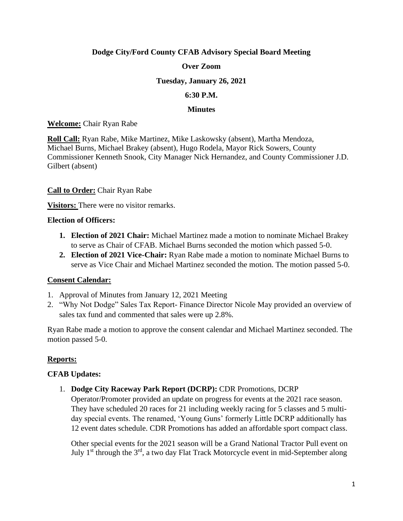# **Dodge City/Ford County CFAB Advisory Special Board Meeting**

# **Over Zoom**

## **Tuesday, January 26, 2021**

#### **6:30 P.M.**

#### **Minutes**

#### **Welcome:** Chair Ryan Rabe

**Roll Call:** Ryan Rabe, Mike Martinez, Mike Laskowsky (absent), Martha Mendoza, Michael Burns, Michael Brakey (absent), Hugo Rodela, Mayor Rick Sowers, County Commissioner Kenneth Snook, City Manager Nick Hernandez, and County Commissioner J.D. Gilbert (absent)

# **Call to Order:** Chair Ryan Rabe

**Visitors:** There were no visitor remarks.

#### **Election of Officers:**

- **1. Election of 2021 Chair:** Michael Martinez made a motion to nominate Michael Brakey to serve as Chair of CFAB. Michael Burns seconded the motion which passed 5-0.
- **2. Election of 2021 Vice-Chair:** Ryan Rabe made a motion to nominate Michael Burns to serve as Vice Chair and Michael Martinez seconded the motion. The motion passed 5-0.

# **Consent Calendar:**

- 1. Approval of Minutes from January 12, 2021 Meeting
- 2. "Why Not Dodge" Sales Tax Report- Finance Director Nicole May provided an overview of sales tax fund and commented that sales were up 2.8%.

Ryan Rabe made a motion to approve the consent calendar and Michael Martinez seconded. The motion passed 5-0.

# **Reports:**

# **CFAB Updates:**

1. **Dodge City Raceway Park Report (DCRP):** CDR Promotions, DCRP Operator/Promoter provided an update on progress for events at the 2021 race season. They have scheduled 20 races for 21 including weekly racing for 5 classes and 5 multiday special events. The renamed, 'Young Guns' formerly Little DCRP additionally has 12 event dates schedule. CDR Promotions has added an affordable sport compact class.

Other special events for the 2021 season will be a Grand National Tractor Pull event on July  $1<sup>st</sup>$  through the  $3<sup>rd</sup>$ , a two day Flat Track Motorcycle event in mid-September along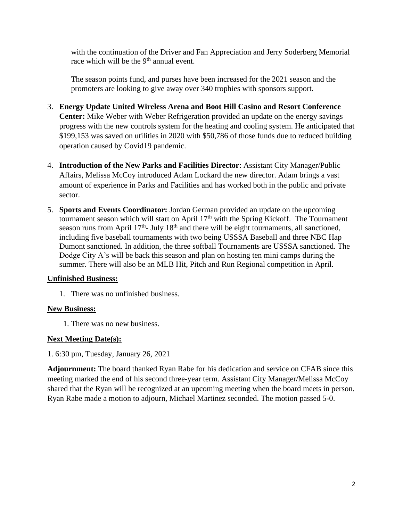with the continuation of the Driver and Fan Appreciation and Jerry Soderberg Memorial race which will be the  $9<sup>th</sup>$  annual event.

The season points fund, and purses have been increased for the 2021 season and the promoters are looking to give away over 340 trophies with sponsors support.

- 3. **Energy Update United Wireless Arena and Boot Hill Casino and Resort Conference Center:** Mike Weber with Weber Refrigeration provided an update on the energy savings progress with the new controls system for the heating and cooling system. He anticipated that \$199,153 was saved on utilities in 2020 with \$50,786 of those funds due to reduced building operation caused by Covid19 pandemic.
- 4. **Introduction of the New Parks and Facilities Director**: Assistant City Manager/Public Affairs, Melissa McCoy introduced Adam Lockard the new director. Adam brings a vast amount of experience in Parks and Facilities and has worked both in the public and private sector.
- 5. **Sports and Events Coordinator:** Jordan German provided an update on the upcoming tournament season which will start on April  $17<sup>th</sup>$  with the Spring Kickoff. The Tournament season runs from April  $17<sup>th</sup>$ - July  $18<sup>th</sup>$  and there will be eight tournaments, all sanctioned, including five baseball tournaments with two being USSSA Baseball and three NBC Hap Dumont sanctioned. In addition, the three softball Tournaments are USSSA sanctioned. The Dodge City A's will be back this season and plan on hosting ten mini camps during the summer. There will also be an MLB Hit, Pitch and Run Regional competition in April.

# **Unfinished Business:**

1. There was no unfinished business.

# **New Business:**

1. There was no new business.

# **Next Meeting Date(s):**

1. 6:30 pm, Tuesday, January 26, 2021

**Adjournment:** The board thanked Ryan Rabe for his dedication and service on CFAB since this meeting marked the end of his second three-year term. Assistant City Manager/Melissa McCoy shared that the Ryan will be recognized at an upcoming meeting when the board meets in person. Ryan Rabe made a motion to adjourn, Michael Martinez seconded. The motion passed 5-0.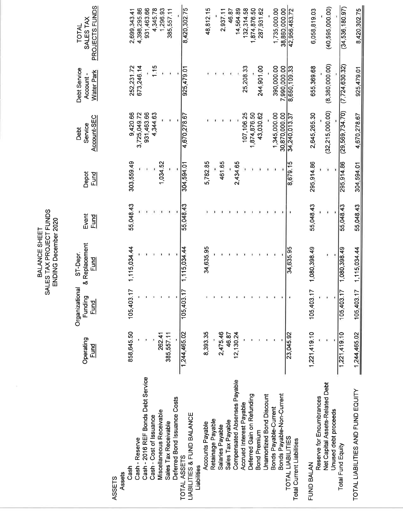SALES TAX PROJECT FUNDS ENDING December 2020 BALANCE SHEET

38,860,000.00<br>42,956,483.72 PROJECTS FUNDS  $(40, 595, 000.00)$ 385,557.11 8,420,302.75 46.87  $(34, 536, 180.97)$ 4,398,295.86 931,463.66 4,345.78 1,296.93 48,812.15 14,564.89 132,314.58 1,874,876.50 1,735,000.00 6,058,819.03 8,420,302.75 2,699,343.41 2,937.11 287,931.62 SALES TAX TOTAL  $(8,380,000.00)$ 1.15  $(7, 724, 630, 32)$ 252,231.72 673,246.14 25,208.33 244,901.00 390,000.00 7,990,000.00 8,650,109.33 655,369.68 925,479.01 925,479.01 Debt Service **Water Park** Account- $(32, 215, 000.00)$  $(29, 569, 734.70)$ 9,420.66 3,725,049.72 931,463.66 4,344.63 107,106.25 1,345,000.00 30,870,000.00 2,645,265.30 4,670,278.67 1,874,876.50 43,030.62 4,670,278.67 34,240,013.37 Account-SEC Service Debt 461.65 295,914.86 295,914.86 303,559.49 1,034.52 304,594.01 5,782.85 8,679.15 2,434.65 304,594.01 <u>Fund</u> Depot 55,048.43 55,048.43 55,048.43 55,048.43 55,048.43 Event <u>Fund</u> & Replacement 105,403.17 1,115,034.44 1,115,034.44 34,635.95 34,635.95 105,403.17 1,080,398.49 1,080,398.49 1,115,034.44 ST-Depr. <u>Fund</u> Organizational 105,403.17 105,403.17 105,403.17 Funding Fund 1,221,419.10 858,645.50 1,221,419.10  $1,244,465.02$ 262.41 1,244,465.02 8,393.35 2,475.46 385,557.11 46.87 12, 130.24 23,045.92 Operating <u>Fund</u> Cash - 2016 REF Bonds Debt Service Compensated Absenses Payable Net Capital Assets-Related Debt TOTAL LIABILITIES AND FUND EQUITY Deferred Gain on Refunding Bonds Payable-Non-Current Unamortized Bond Discount Reserve for Encumbrances Deferred Bond Issuance Costs Accrued Interest Payable Bonds Payable-Current Unused debt proceeds Miscellaneous Receivable LIABILITIES & FUND BALANCE Cash - Cost of Issuance Retainage Payable Sales Tax Payable Sales Tax Receivable Accounts Payable Salaries Payable **Bond Premium** TOTAL LIABILITIES Cash - Reserve Total Current Liabilities Total Fund Equity TOTAL ASSETS FUND BALAN Liabilities Cash Assets **ASSETS**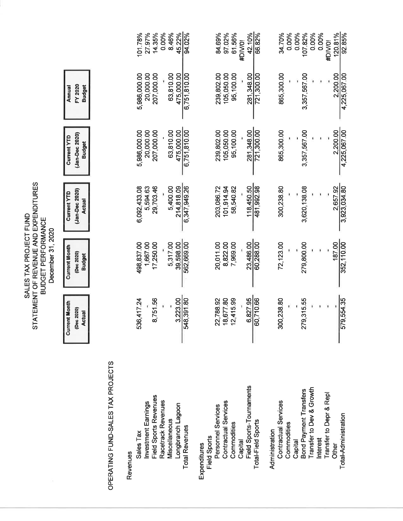|                                                                                                                   |                                                       |                                               | 45.22%<br>27.97%<br>0.00%<br>8.46%<br>101.78%<br>14.35%<br>94.02%                                                                              | 84.69%<br>97.02%<br>61.56%<br>42.10%<br>66.82%<br>#DIV/0!                                                                                                     | 0.00%<br>0.00%<br>34.70%<br>0.00%<br>107.82%<br>0.00%<br>120.81%<br>92.85%<br>#DIV/0!                                                                                                                 |
|-------------------------------------------------------------------------------------------------------------------|-------------------------------------------------------|-----------------------------------------------|------------------------------------------------------------------------------------------------------------------------------------------------|---------------------------------------------------------------------------------------------------------------------------------------------------------------|-------------------------------------------------------------------------------------------------------------------------------------------------------------------------------------------------------|
|                                                                                                                   | FY 2020<br><b>Budget</b><br>Annual                    |                                               | 20,000.00<br>5,986,000.00<br>207,000.00<br>63,810.00<br>475,000.00<br>6,751,810.00                                                             | 239,802.00<br>105,050.00<br>95,100.00<br>281,348.00<br>721,300.00                                                                                             | 865,300.00<br>2,200.00<br>3,357,567.00<br>4,225,067.00                                                                                                                                                |
|                                                                                                                   | (Jan-Dec 2020)<br><b>Current YTD</b><br><b>Budget</b> |                                               | 6,751,810.00<br>5,986,000.00<br>20,000.00<br>207,000.00<br>63,810.00<br>475,000.00                                                             | 721,300.00<br>239,802.00<br>105,050.00<br>281,348.00<br>95,100.00                                                                                             | 865,300.00<br>3,357,567.00<br>2,200.00<br>4,225,067.00                                                                                                                                                |
|                                                                                                                   | (Jan-Dec 2020)<br><b>Current YTD</b><br><b>Actual</b> |                                               | 6,347,949.26<br>6,092,433.08<br>5,594.63<br>29,703.46<br>5,400.00<br>214,818.09                                                                | 481,992.98<br>101,914.94<br>118,450.50<br>203,086.72<br>58,540.82                                                                                             | 300,238.80<br>3,923,034.80<br>3,620,138.08                                                                                                                                                            |
| STATEMENT OF REVENUE AND EXPENDITURES<br>SALES TAX PROJECT FUND<br><b>BUDGET PERFORMANCE</b><br>December 31, 2020 | <b>Current Month</b><br>(Dec 2020)<br><b>Budget</b>   |                                               | 562,669.00<br>39,598.00<br>498,837.00<br>1,667.00<br>17,250.00<br>5,317.00                                                                     | 60,288.00<br>20,011.00<br>8,822.00<br>23,486.00<br>7,969.00                                                                                                   | 72,123.00<br>187.00<br>352,110.00<br>279,800.00                                                                                                                                                       |
|                                                                                                                   | <b>Current Month</b><br>(Dec 2020)<br><b>Actual</b>   |                                               | 536,417.24<br>3,223.00<br>548,391.80<br>8,751.56                                                                                               | 60,710.66<br>22,788.92<br>18,677.80<br>12,415.99<br>6,827.95                                                                                                  | 579,554.35<br>300,238.80<br>279,315.55                                                                                                                                                                |
|                                                                                                                   |                                                       | OPERATING FUND-SALES TAX PROJECTS<br>Revenues | Field Sports Revenues<br>Racetrack Revenues<br>Investment Earnings<br>Longbranch Lagoon<br>Miscellaneous<br><b>Total Revenues</b><br>Sales Tax | Field Sports-Tournaments<br>Contractual Services<br>Personnel Services<br>Total-Field Sports<br>Commodities<br><b>Field Sports</b><br>Capital<br>Expenditures | Transfer to Dev & Growth<br><b>Bond Payment Transfers</b><br>Transfer to Depr & Repl<br>Contractual Services<br>Total-Administration<br>Commodities<br>Administration<br>Interest<br>Capital<br>Other |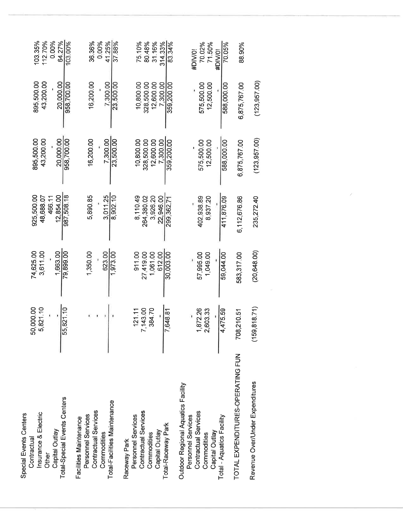| Total-Special Events Centers<br>Insurance & Electric<br>Special Events Centers<br>Capital Outlay<br>Contractual<br>Other                       | 50,000.00<br>5,821.10<br>55,821.10       | 74,625.00<br>3,611.00<br>1,663.00<br>79,899.00         | 987,508.18<br>925,500.00<br>12.854.00<br>48,688.07<br>466.11  | 895,500.00<br>43,200.00<br>958,700.00<br>20.000.00             | 895,500.00<br>43,200.00<br>20,000.00<br>958,700.00             | 103.35%<br>112.70%<br>0.00%<br>64.27%<br>103.00% |
|------------------------------------------------------------------------------------------------------------------------------------------------|------------------------------------------|--------------------------------------------------------|---------------------------------------------------------------|----------------------------------------------------------------|----------------------------------------------------------------|--------------------------------------------------|
| Total-Facilities Maintenance<br>Contractual Services<br>Personnel Services<br>Facilities Maintenance<br>Commodities                            |                                          | 1,350.00<br>623.00<br>1,973.00                         | 5,890.85<br>3.011.25<br>8,902.10                              | 16,200.00<br>7,300.00<br>23,500.00                             | 16,200.00<br>7,300.00<br>23,500.00                             | 36.36%<br>0.00%<br>41.25%<br>37.88%              |
| Contractual Services<br>Personnel Services<br>Total-Raceway Park<br>Capital Outlay<br>Commodities<br>Raceway Park                              | 7,143.00<br>384.70<br>121.11<br>7,648.81 | 911.00<br>30,003.00<br>27,419.00<br>1,061.00<br>612.00 | 3,926.20<br>22.946.00<br>8,110.49<br>264,380.02<br>299,362.71 | 10,800.00<br>7.300.00<br>328,500.00<br>12,600.00<br>359,200.00 | 10,800.00<br>7.300.00<br>328,500.00<br>12,600.00<br>359,200.00 | 75.10%<br>31.16%<br>80.48%<br>314.33%<br>83.34%  |
| Outdoor Regional Aquatics Facility<br>Contractual Services<br>Total - Aquatics Facility<br>Personnel Services<br>Capital Outlay<br>Commodities | 1,872.26<br>2,603.33<br>4,475.59         | 57,995.00<br>59,044.00<br>1,049.00                     | 402,938.89<br>8,937.20<br>411,876.09                          | 575,500.00<br>12,500.00<br>588,000.00                          | 575,500.00<br>12,500.00<br>588,000.00                          | 70.02%<br>71.50%<br>70.05%<br>#DIV/0!<br>#DIV/01 |
| TOTAL EXPENDITURES-OPERATING FUN                                                                                                               | 8,210.51<br>5                            | 583,317.00                                             | 6,112,676.86                                                  | 6,875,767.00                                                   | 6,875,767.00                                                   | 88.90%                                           |
| Revenue Over/Under Expenditures                                                                                                                | 0,818.71<br>ငိ                           | (20, 648.00)                                           | 235,272.40                                                    | (123, 957, 00)                                                 | (123, 957, 00)                                                 |                                                  |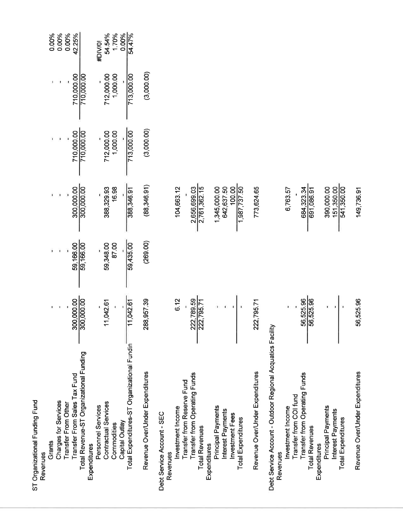| ST Organizational Funding Fund<br>Revenues                             |                          |                        |                                 |                        |                        |                 |
|------------------------------------------------------------------------|--------------------------|------------------------|---------------------------------|------------------------|------------------------|-----------------|
| Grants                                                                 |                          |                        |                                 |                        |                        | 0.00%           |
| Charges for Services                                                   |                          |                        |                                 |                        |                        | 0.00%           |
| Transfer From Sales Tax Fund<br>Transfer From Other                    |                          |                        |                                 |                        |                        | 0.00%           |
| Total Revenue-ST Organizational Funding<br>Expenditures                | 300,000.00               | 59,166.00<br>59,166.00 | $\frac{300,000.00}{300,000.00}$ | 710,000.00             | 710,000.00             | 42.25%          |
| Personnel Services                                                     |                          |                        |                                 |                        |                        | #DIV/0!         |
| Contractual Services<br>Commodities                                    | 11,042.61                | 59,348.00<br>87.00     | 388,329.93                      | 712,000.00<br>1,000.00 | 712,000.00<br>1,000.00 | 54.54%          |
| Capital Outlay                                                         |                          |                        | 16.98                           |                        |                        | 1.70%           |
| Total Expenditures-ST Organizational Fundin                            | $\frac{1}{11,042.61}$    | 59,435.00              | 388,346.91                      | 713,000.00             | 713,000.00             | 0.00%<br>54.47% |
| Revenue Over/Under Expenditures                                        | 288,957.39               | (269.00)               | (88,346.91)                     | (3,000.00)             | (3,000.00)             |                 |
| Debt Service Account - SEC                                             |                          |                        |                                 |                        |                        |                 |
| Investment Income<br>Revenues                                          | 6.12                     |                        | 104,663.12                      |                        |                        |                 |
| <b>Transfer from Reserve Fund</b>                                      |                          |                        |                                 |                        |                        |                 |
| Transfer from Operating Funds<br><b>Total Revenues</b>                 | 222,789.59<br>222,795.71 |                        | 2,656,699.03<br>2,761,362.15    |                        |                        |                 |
| Expenditures                                                           |                          |                        |                                 |                        |                        |                 |
| Principal Payments<br>Interest Payments                                |                          |                        | 1,345,000.00<br>642,637.50      |                        |                        |                 |
| <b>Investment Fees</b>                                                 |                          |                        |                                 |                        |                        |                 |
| <b>Total Expenditures</b>                                              |                          |                        | 1,987,737.50                    |                        |                        |                 |
| Revenue Over/Under Expenditures                                        | 222,795.71               |                        | 773,624.65                      |                        |                        |                 |
| Debt Service Account - Outdoor Regional Acquatics Facility<br>Revenues |                          |                        |                                 |                        |                        |                 |
| Investment Income                                                      |                          |                        | 6,763.57                        |                        |                        |                 |
| Transfer from COI fund                                                 |                          |                        |                                 |                        |                        |                 |
| Transfer from Operating Funds<br><b>Total Revenues</b>                 | 56,525.96<br>56,525.96   |                        | 684,323.34                      |                        |                        |                 |
| Expenditures                                                           |                          |                        |                                 |                        |                        |                 |
| Principal Payments                                                     |                          |                        | 390,000.00                      |                        |                        |                 |
| Interest Payments<br><b>Total Expenditures</b>                         |                          |                        | 151,350.00<br>541,350.00        |                        |                        |                 |
| Revenue Over/Under Expenditures                                        | 56,525.96                |                        | 149,736.91                      |                        |                        |                 |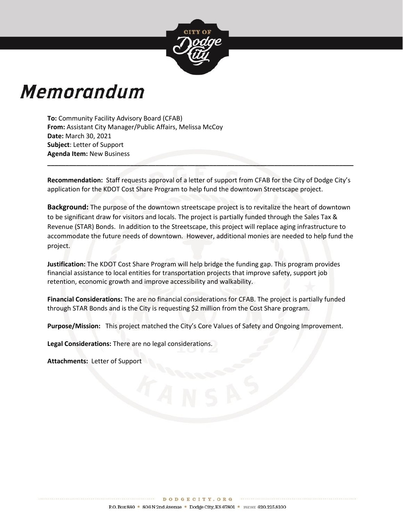

# Memorandum

**To:** Community Facility Advisory Board (CFAB) **From:** Assistant City Manager/Public Affairs, Melissa McCoy **Date:** March 30, 2021 **Subject**: Letter of Support **Agenda Item:** New Business

**Recommendation:** Staff requests approval of a letter of support from CFAB for the City of Dodge City's application for the KDOT Cost Share Program to help fund the downtown Streetscape project.

**\_\_\_\_\_\_\_\_\_\_\_\_\_\_\_\_\_\_\_\_\_\_\_\_\_\_\_\_\_\_\_\_\_\_\_\_\_\_\_\_\_\_\_\_\_\_\_\_\_\_\_\_\_\_\_\_\_\_\_\_\_\_\_\_\_\_\_\_\_\_\_\_\_\_\_\_\_\_\_\_\_\_\_\_\_**

**Background:** The purpose of the downtown streetscape project is to revitalize the heart of downtown to be significant draw for visitors and locals. The project is partially funded through the Sales Tax & Revenue (STAR) Bonds. In addition to the Streetscape, this project will replace aging infrastructure to accommodate the future needs of downtown. However, additional monies are needed to help fund the project.

**Justification:** The KDOT Cost Share Program will help bridge the funding gap. This program provides financial assistance to local entities for transportation projects that improve safety, support job retention, economic growth and improve accessibility and walkability.

**Financial Considerations:** The are no financial considerations for CFAB. The project is partially funded through STAR Bonds and is the City is requesting \$2 million from the Cost Share program.

**Purpose/Mission:** This project matched the City's Core Values of Safety and Ongoing Improvement.

**Legal Considerations:** There are no legal considerations.

**Attachments:** Letter of Support

\*\*\*\*\*\*\*\*\*\*\*\*\*\*\*\*\*\*\*\*\*\*\*\*